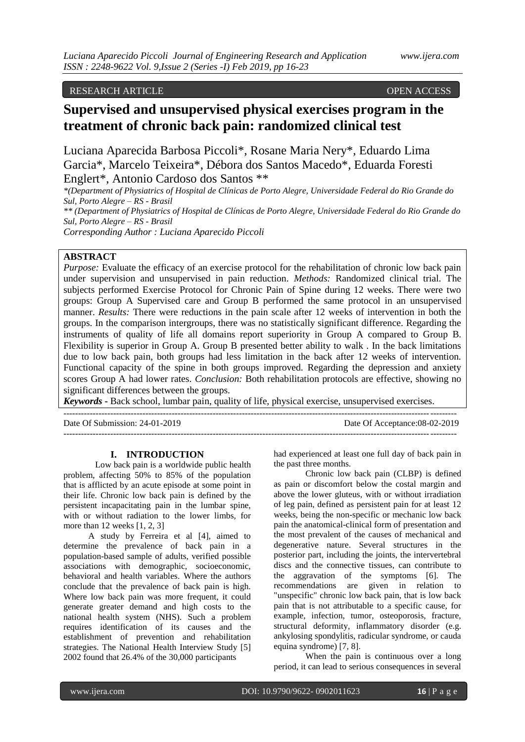#### RESEARCH ARTICLE OPEN ACCESS

## **Supervised and unsupervised physical exercises program in the treatment of chronic back pain: randomized clinical test**

Luciana Aparecida Barbosa Piccoli\*, Rosane Maria Nery\*, Eduardo Lima Garcia\*, Marcelo Teixeira\*, Débora dos Santos Macedo\*, Eduarda Foresti Englert\*, Antonio Cardoso dos Santos \*\*

*\*(Department of Physiatrics of Hospital de Clínicas de Porto Alegre, Universidade Federal do Rio Grande do Sul, Porto Alegre – RS - Brasil \*\* (Department of Physiatrics of Hospital de Clínicas de Porto Alegre, Universidade Federal do Rio Grande do Sul, Porto Alegre – RS - Brasil Corresponding Author : Luciana Aparecido Piccoli*

#### **ABSTRACT**

*Purpose:* Evaluate the efficacy of an exercise protocol for the rehabilitation of chronic low back pain under supervision and unsupervised in pain reduction. *Methods:* Randomized clinical trial. The subjects performed Exercise Protocol for Chronic Pain of Spine during 12 weeks. There were two groups: Group A Supervised care and Group B performed the same protocol in an unsupervised manner. *Results:* There were reductions in the pain scale after 12 weeks of intervention in both the groups. In the comparison intergroups, there was no statistically significant difference. Regarding the instruments of quality of life all domains report superiority in Group A compared to Group B. Flexibility is superior in Group A. Group B presented better ability to walk . In the back limitations due to low back pain, both groups had less limitation in the back after 12 weeks of intervention. Functional capacity of the spine in both groups improved. Regarding the depression and anxiety scores Group A had lower rates. *Conclusion:* Both rehabilitation protocols are effective, showing no significant differences between the groups.

*Keywords* **-** Back school, lumbar pain, quality of life, physical exercise, unsupervised exercises.

--------------------------------------------------------------------------------------------------------------------------------------

Date Of Submission: 24-01-2019 Date Of Acceptance:08-02-2019

--------------------------------------------------------------------------------------------------------------------------------------

#### **I. INTRODUCTION**

Low back pain is a worldwide public health problem, affecting 50% to 85% of the population that is afflicted by an acute episode at some point in their life. Chronic low back pain is defined by the persistent incapacitating pain in the lumbar spine, with or without radiation to the lower limbs, for more than 12 weeks [1, 2, 3]

A study by Ferreira et al [4], aimed to determine the prevalence of back pain in a population-based sample of adults, verified possible associations with demographic, socioeconomic, behavioral and health variables. Where the authors conclude that the prevalence of back pain is high. Where low back pain was more frequent, it could generate greater demand and high costs to the national health system (NHS). Such a problem requires identification of its causes and the establishment of prevention and rehabilitation strategies. The National Health Interview Study [5] 2002 found that 26.4% of the 30,000 participants

had experienced at least one full day of back pain in the past three months.

Chronic low back pain (CLBP) is defined as pain or discomfort below the costal margin and above the lower gluteus, with or without irradiation of leg pain, defined as persistent pain for at least 12 weeks, being the non-specific or mechanic low back pain the anatomical-clinical form of presentation and the most prevalent of the causes of mechanical and degenerative nature. Several structures in the posterior part, including the joints, the intervertebral discs and the connective tissues, can contribute to the aggravation of the symptoms [6]. The recommendations are given in relation to "unspecific" chronic low back pain, that is low back pain that is not attributable to a specific cause, for example, infection, tumor, osteoporosis, fracture, structural deformity, inflammatory disorder (e.g. ankylosing spondylitis, radicular syndrome, or cauda equina syndrome) [7, 8].

When the pain is continuous over a long period, it can lead to serious consequences in several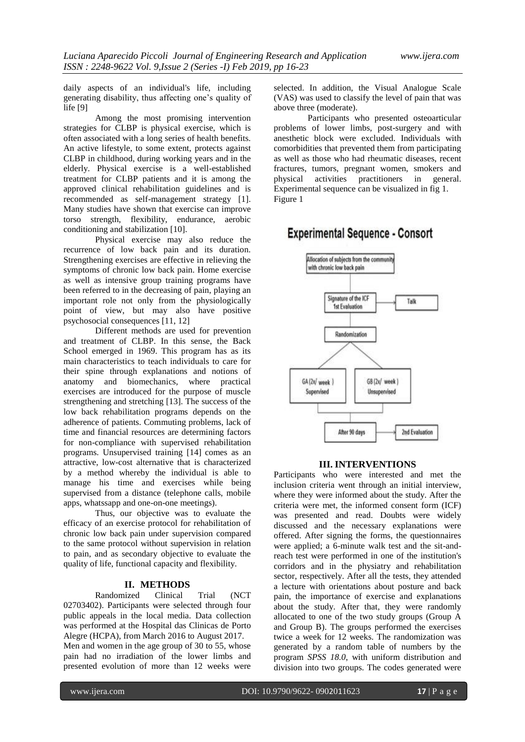daily aspects of an individual's life, including generating disability, thus affecting one's quality of life [9]

Among the most promising intervention strategies for CLBP is physical exercise, which is often associated with a long series of health benefits. An active lifestyle, to some extent, protects against CLBP in childhood, during working years and in the elderly. Physical exercise is a well-established treatment for CLBP patients and it is among the approved clinical rehabilitation guidelines and is recommended as self-management strategy [1]. Many studies have shown that exercise can improve torso strength, flexibility, endurance, aerobic conditioning and stabilization [10].

Physical exercise may also reduce the recurrence of low back pain and its duration. Strengthening exercises are effective in relieving the symptoms of chronic low back pain. Home exercise as well as intensive group training programs have been referred to in the decreasing of pain, playing an important role not only from the physiologically point of view, but may also have positive psychosocial consequences [11, 12]

Different methods are used for prevention and treatment of CLBP. In this sense, the Back School emerged in 1969. This program has as its main characteristics to teach individuals to care for their spine through explanations and notions of anatomy and biomechanics, where practical exercises are introduced for the purpose of muscle strengthening and stretching [13]. The success of the low back rehabilitation programs depends on the adherence of patients. Commuting problems, lack of time and financial resources are determining factors for non-compliance with supervised rehabilitation programs. Unsupervised training [14] comes as an attractive, low-cost alternative that is characterized by a method whereby the individual is able to manage his time and exercises while being supervised from a distance (telephone calls, mobile apps, whatssapp and one-on-one meetings).

Thus, our objective was to evaluate the efficacy of an exercise protocol for rehabilitation of chronic low back pain under supervision compared to the same protocol without supervision in relation to pain, and as secondary objective to evaluate the quality of life, functional capacity and flexibility.

# **II. METHODS**

Randomized Clinical Trial (NCT 02703402). Participants were selected through four public appeals in the local media. Data collection was performed at the Hospital das Clinicas de Porto Alegre (HCPA), from March 2016 to August 2017. Men and women in the age group of 30 to 55, whose pain had no irradiation of the lower limbs and presented evolution of more than 12 weeks were

selected. In addition, the Visual Analogue Scale (VAS) was used to classify the level of pain that was above three (moderate).

Participants who presented osteoarticular problems of lower limbs, post-surgery and with anesthetic block were excluded. Individuals with comorbidities that prevented them from participating as well as those who had rheumatic diseases, recent fractures, tumors, pregnant women, smokers and<br>physical activities practitioners in general. physical activities Experimental sequence can be visualized in fig 1. Figure 1

### **Experimental Sequence - Consort**



#### **III. INTERVENTIONS**

Participants who were interested and met the inclusion criteria went through an initial interview, where they were informed about the study. After the criteria were met, the informed consent form (ICF) was presented and read. Doubts were widely discussed and the necessary explanations were offered. After signing the forms, the questionnaires were applied; a 6-minute walk test and the sit-andreach test were performed in one of the institution's corridors and in the physiatry and rehabilitation sector, respectively. After all the tests, they attended a lecture with orientations about posture and back pain, the importance of exercise and explanations about the study. After that, they were randomly allocated to one of the two study groups (Group A and Group B). The groups performed the exercises twice a week for 12 weeks. The randomization was generated by a random table of numbers by the program *SPSS 18.0*, with uniform distribution and division into two groups. The codes generated were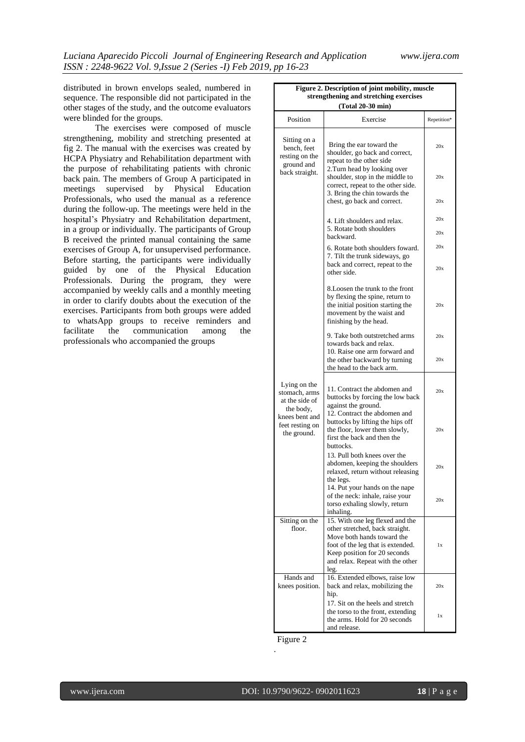distributed in brown envelops sealed, numbered in sequence. The responsible did not participated in the other stages of the study, and the outcome evaluators were blinded for the groups.

The exercises were composed of muscle strengthening, mobility and stretching presented at fig 2. The manual with the exercises was created by HCPA Physiatry and Rehabilitation department with the purpose of rehabilitating patients with chronic back pain. The members of Group A participated in meetings supervised by Physical Education Professionals, who used the manual as a reference during the follow-up. The meetings were held in the hospital's Physiatry and Rehabilitation department, in a group or individually. The participants of Group B received the printed manual containing the same exercises of Group A, for unsupervised performance. Before starting, the participants were individually guided by one of the Physical Education Professionals. During the program, they were accompanied by weekly calls and a monthly meeting in order to clarify doubts about the execution of the exercises. Participants from both groups were added to whatsApp groups to receive reminders and facilitate the communication among the professionals who accompanied the groups

| Figure 2. Description of joint mobility, muscle<br>strengthening and stretching exercises |                                                                                                                                                                                                                   |             |  |  |  |  |  |  |  |
|-------------------------------------------------------------------------------------------|-------------------------------------------------------------------------------------------------------------------------------------------------------------------------------------------------------------------|-------------|--|--|--|--|--|--|--|
|                                                                                           | (Total 20-30 min)                                                                                                                                                                                                 |             |  |  |  |  |  |  |  |
| Position                                                                                  | Exercise                                                                                                                                                                                                          | Repetition* |  |  |  |  |  |  |  |
| Sitting on a<br>bench, feet<br>resting on the<br>ground and                               | Bring the ear toward the<br>shoulder, go back and correct,<br>repeat to the other side                                                                                                                            | 20x         |  |  |  |  |  |  |  |
| back straight.                                                                            | 2. Turn head by looking over<br>shoulder, stop in the middle to<br>correct, repeat to the other side.<br>3. Bring the chin towards the                                                                            | 20x         |  |  |  |  |  |  |  |
|                                                                                           | chest, go back and correct.                                                                                                                                                                                       | 20x         |  |  |  |  |  |  |  |
|                                                                                           | 4. Lift shoulders and relax.<br>5. Rotate both shoulders                                                                                                                                                          | 20x<br>20x  |  |  |  |  |  |  |  |
|                                                                                           | backward.<br>6. Rotate both shoulders foward.                                                                                                                                                                     | 20x         |  |  |  |  |  |  |  |
|                                                                                           | 7. Tilt the trunk sideways, go<br>back and correct, repeat to the<br>other side.                                                                                                                                  | 20x         |  |  |  |  |  |  |  |
|                                                                                           | 8. Loosen the trunk to the front<br>by flexing the spine, return to<br>the initial position starting the<br>movement by the waist and<br>finishing by the head.                                                   | 20x         |  |  |  |  |  |  |  |
|                                                                                           | 9. Take both outstretched arms<br>towards back and relax.                                                                                                                                                         | 20x         |  |  |  |  |  |  |  |
|                                                                                           | 10. Raise one arm forward and<br>the other backward by turning<br>the head to the back arm.                                                                                                                       | 20x         |  |  |  |  |  |  |  |
| Lying on the<br>stomach, arms<br>at the side of                                           | 11. Contract the abdomen and<br>buttocks by forcing the low back<br>against the ground.                                                                                                                           | 20x         |  |  |  |  |  |  |  |
| the body,<br>knees bent and<br>feet resting on<br>the ground.                             | 12. Contract the abdomen and<br>buttocks by lifting the hips off<br>the floor, lower them slowly,<br>first the back and then the<br>buttocks.                                                                     | 20x         |  |  |  |  |  |  |  |
|                                                                                           | 13. Pull both knees over the<br>abdomen, keeping the shoulders<br>relaxed, return without releasing<br>the legs.                                                                                                  | 20x         |  |  |  |  |  |  |  |
|                                                                                           | 14. Put your hands on the nape<br>of the neck: inhale, raise your<br>torso exhaling slowly, return<br>inhaling.                                                                                                   | 20x         |  |  |  |  |  |  |  |
| Sitting on the<br>floor.                                                                  | 15. With one leg flexed and the<br>other stretched, back straight.<br>Move both hands toward the<br>foot of the leg that is extended.<br>Keep position for 20 seconds<br>and relax. Repeat with the other<br>leg. | 1x          |  |  |  |  |  |  |  |
| Hands and<br>knees position.                                                              | 16. Extended elbows, raise low<br>back and relax, mobilizing the<br>hip.                                                                                                                                          | 20x         |  |  |  |  |  |  |  |
|                                                                                           | 17. Sit on the heels and stretch<br>the torso to the front, extending<br>the arms. Hold for 20 seconds<br>and release.                                                                                            | 1x          |  |  |  |  |  |  |  |

Figure 2

.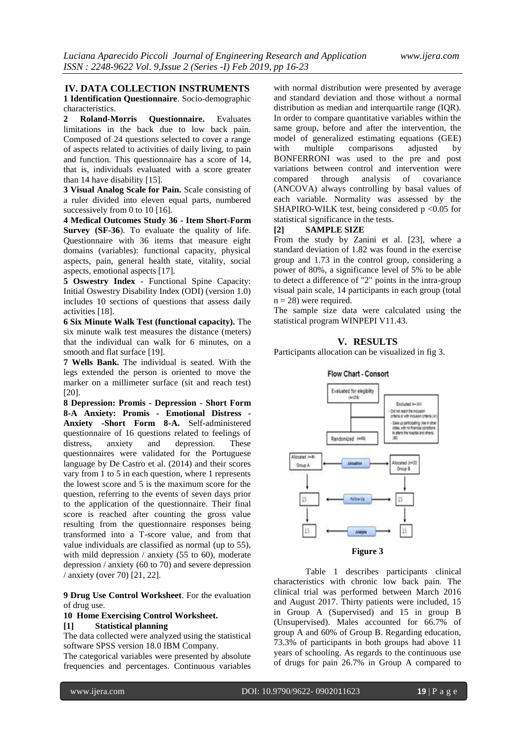#### **IV. DATA COLLECTION INSTRUMENTS**

**1 Identification Questionnaire**. Socio-demographic characteristics.

**2 Roland-Morris Questionnaire.** Evaluates limitations in the back due to low back pain. Composed of 24 questions selected to cover a range of aspects related to activities of daily living, to pain and function. This questionnaire has a score of 14, that is, individuals evaluated with a score greater than 14 have disability [15].

**3 Visual Analog Scale for Pain.** Scale consisting of a ruler divided into eleven equal parts, numbered successively from 0 to 10 [16].

**4 Medical Outcomes Study 36 - Item Short-Form Survey (SF-36**). To evaluate the quality of life. Questionnaire with 36 items that measure eight domains (variables): functional capacity, physical aspects, pain, general health state, vitality, social aspects, emotional aspects [17].

**5 Oswestry Index** - Functional Spine Capacity: Initial Oswestry Disability Index (ODI) (version 1.0) includes 10 sections of questions that assess daily activities [18].

**6 Six Minute Walk Test (functional capacity).** The six minute walk test measures the distance (meters) that the individual can walk for 6 minutes, on a smooth and flat surface [19].

**7 Wells Bank.** The individual is seated. With the legs extended the person is oriented to move the marker on a millimeter surface (sit and reach test) [20].

**8 Depression: Promis - Depression - Short Form 8-A Anxiety: Promis - Emotional Distress - Anxiety -Short Form 8-A.** Self-administered questionnaire of 16 questions related to feelings of distress, anxiety and depression. These questionnaires were validated for the Portuguese language by De Castro et al. (2014) and their scores vary from 1 to 5 in each question, where 1 represents the lowest score and 5 is the maximum score for the question, referring to the events of seven days prior to the application of the questionnaire. Their final score is reached after counting the gross value resulting from the questionnaire responses being transformed into a T-score value, and from that value individuals are classified as normal (up to 55), with mild depression / anxiety (55 to 60), moderate depression / anxiety (60 to 70) and severe depression / anxiety (over 70) [21, 22].

**9 Drug Use Control Worksheet**. For the evaluation of drug use.

#### **10 Home Exercising Control Worksheet.**

#### **[1] Statistical planning**

The data collected were analyzed using the statistical software SPSS version 18.0 IBM Company.

The categorical variables were presented by absolute frequencies and percentages. Continuous variables

with normal distribution were presented by average and standard deviation and those without a normal distribution as median and interquartile range (IQR). In order to compare quantitative variables within the same group, before and after the intervention, the model of generalized estimating equations (GEE)<br>with multiple comparisons adjusted by with multiple comparisons adjusted by BONFERRONI was used to the pre and post variations between control and intervention were<br>compared through analysis of covariance compared through analysis of covariance (ANCOVA) always controlling by basal values of each variable. Normality was assessed by the SHAPIRO-WILK test, being considered  $p < 0.05$  for statistical significance in the tests.

#### **[2] SAMPLE SIZE**

From the study by Zanini et al. [23], where a standard deviation of 1.82 was found in the exercise group and 1.73 in the control group, considering a power of 80%, a significance level of 5% to be able to detect a difference of "2" points in the intra-group visual pain scale, 14 participants in each group (total  $n = 28$ ) were required.

The sample size data were calculated using the statistical program WINPEPI V11.43.

#### **V. RESULTS**

Participants allocation can be visualized in fig 3.



**Figure 3**

Table 1 describes participants clinical characteristics with chronic low back pain. The clinical trial was performed between March 2016 and August 2017. Thirty patients were included, 15 in Group A (Supervised) and 15 in group B (Unsupervised). Males accounted for 66.7% of group A and 60% of Group B. Regarding education, 73.3% of participants in both groups had above 11 years of schooling. As regards to the continuous use of drugs for pain 26.7% in Group A compared to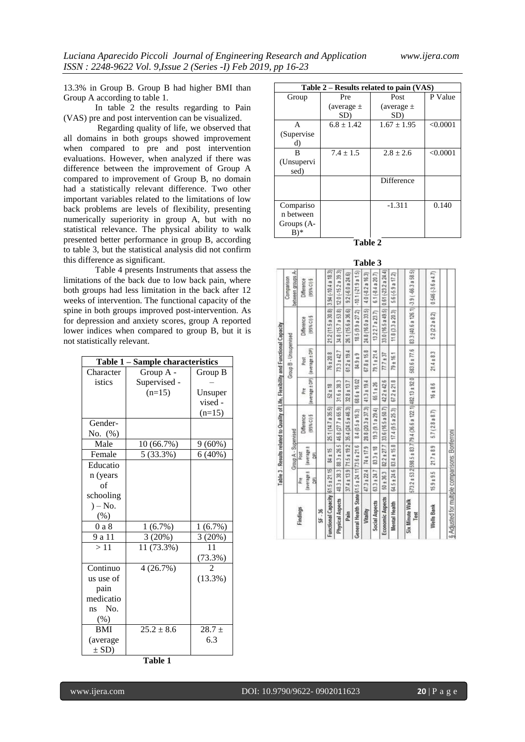13.3% in Group B. Group B had higher BMI than Group A according to table 1.

In table 2 the results regarding to Pain (VAS) pre and post intervention can be visualized.

Regarding quality of life, we observed that all domains in both groups showed improvement when compared to pre and post intervention evaluations. However, when analyzed if there was difference between the improvement of Group A compared to improvement of Group B, no domain had a statistically relevant difference. Two other important variables related to the limitations of low back problems are levels of flexibility, presenting numerically superiority in group A, but with no statistical relevance. The physical ability to walk presented better performance in group B, according to table 3, but the statistical analysis did not confirm this difference as significant.

Table 4 presents Instruments that assess the limitations of the back due to low back pain, where both groups had less limitation in the back after 12 weeks of intervention. The functional capacity of the spine in both groups improved post-intervention. As for depression and anxiety scores, group A reported lower indices when compared to group B, but it is not statistically relevant.

|            | Table 1 – Sample characteristics |                |
|------------|----------------------------------|----------------|
| Character  | Group A -                        | Group B        |
| istics     | Supervised -                     |                |
|            | $(n=15)$                         | Unsuper        |
|            |                                  | vised -        |
|            |                                  | $(n=15)$       |
| Gender-    |                                  |                |
| No. $(\%)$ |                                  |                |
| Male       | 10 (66.7%)                       | $9(60\%)$      |
| Female     | 5 (33.3%)                        | 6(40%)         |
| Educatio   |                                  |                |
| n (years   |                                  |                |
| of         |                                  |                |
| schooling  |                                  |                |
| $) - No.$  |                                  |                |
| $(\%)$     |                                  |                |
| 0 a 8      | 1(6.7%)                          | 1(6.7%)        |
| 9 a 11     | 3 (20%)                          | 3 (20%)        |
| >11        | 11 (73.3%)                       | 11             |
|            |                                  | (73.3%)        |
| Continuo   | 4(26.7%)                         | $\overline{c}$ |
| us use of  |                                  | $(13.3\%)$     |
| pain       |                                  |                |
| medicatio  |                                  |                |
| ns No.     |                                  |                |
| $(\%)$     |                                  |                |
| <b>BMI</b> | $25.2 \pm 8.6$                   | $28.7 \pm$     |
| (average   |                                  | 6.3            |
| $\pm$ SD)  |                                  |                |

**Table 1**

| Table 2 – Results related to pain (VAS) |                |                 |          |  |  |  |  |  |  |  |
|-----------------------------------------|----------------|-----------------|----------|--|--|--|--|--|--|--|
| Group                                   | Pre            | Post            | P Value  |  |  |  |  |  |  |  |
|                                         | (average $\pm$ | (average $\pm$  |          |  |  |  |  |  |  |  |
|                                         | SD)            | SD)             |          |  |  |  |  |  |  |  |
| A                                       | $6.8 \pm 1.42$ | $1.67 \pm 1.95$ | < 0.0001 |  |  |  |  |  |  |  |
| (Supervise                              |                |                 |          |  |  |  |  |  |  |  |
| d)                                      |                |                 |          |  |  |  |  |  |  |  |
| R                                       | $7.4 \pm 1.5$  | $2.8 + 2.6$     | < 0.0001 |  |  |  |  |  |  |  |
| (Unsupervi                              |                |                 |          |  |  |  |  |  |  |  |
| sed)                                    |                |                 |          |  |  |  |  |  |  |  |
|                                         |                | Difference      |          |  |  |  |  |  |  |  |
|                                         |                |                 |          |  |  |  |  |  |  |  |
|                                         |                |                 |          |  |  |  |  |  |  |  |
| Compariso                               |                | $-1.311$        | 0.140    |  |  |  |  |  |  |  |
| n between                               |                |                 |          |  |  |  |  |  |  |  |
| Groups (A-                              |                |                 |          |  |  |  |  |  |  |  |
| B)*                                     |                |                 |          |  |  |  |  |  |  |  |

**Table 2 Table 3**

|                                                                                   |                                |                                    |           |                                  |                      |                    |                                               | 1 adie                 | $\mathbf{J}$      |                       |                    |                                                              |                                            |                                               |
|-----------------------------------------------------------------------------------|--------------------------------|------------------------------------|-----------|----------------------------------|----------------------|--------------------|-----------------------------------------------|------------------------|-------------------|-----------------------|--------------------|--------------------------------------------------------------|--------------------------------------------|-----------------------------------------------|
|                                                                                   | between groups A-<br>Companson | <b>Difference</b><br>95% CI 3      |           | 3 S4 (-104 a 18 3)               | $120 (-15.2 a 39.3)$ | 92(60a246)         | $-10.1(-21.9a1.5)$                            | $4.0 (-8.2 a 16.3)$    | 6.1 (-8.4 a 20.7) | $0.61 (-23.2 a 24.4)$ | $5.6(-5.9a17.2)$   | 83 3 (40.6 a 126.1) 3 9 (-66.3 a 58.5)                       | 5<br>$\ddot{\mathfrak{m}}$<br>0.546 (-3.6) |                                               |
|                                                                                   |                                | (95% CI) §<br>Difference           |           | 21.2 (11.5 a 30.8)               | 34.8 (15.7 a 53.8)   | 261(15.6 a 36.6)   | 185(99a272)                                   | G,<br>24.8 (16.0 a 33) | 13.227a237        | 33.0 (16.5 a 49.5)    | $11.8$ $(3.3a203)$ |                                                              | 52(22a82)                                  |                                               |
|                                                                                   | Group B - Unsupenised          | (average ± DP)<br>Post             |           | 76 ± 20.8                        | $733 + 427$          | $612 \pm 19.4$     | 84.9 ± 9                                      | $67.8 \pm 15.8$        | $79.1 \pm 21.4$   | $777 + 37$            | ÷<br>$79 \pm 16$   | 583.6 ± 77.6                                                 | m<br>œ<br>$21.4 \pm$                       |                                               |
|                                                                                   |                                | average ± DP)<br>č                 |           | $52 \pm 18$                      | $31.6 \pm 38.3$      | 32.8 ± 13.7        | 686 ± 16.02                                   | $41.3 + 19.4$          | 65.1±26           | $42.2 \pm 42.6$       | œ<br>$67.2 \pm 21$ |                                                              | œ<br>$16 \pm 8$                            | Adjusted for multiple comparisons: Bonferroni |
| Table 3 - Results related to Quality of Life. Flexibility and Functional Capacity |                                | 95% CI) §<br><b>Difference</b>     |           | 25.1 (14.7 a 35.5)               | 46.8 (27.7 a 65.9)   | 35.4 (24.5 a 46.3) | 84 (05a 163)                                  | 28 8 (20.3 a 37.3)     | 19.3 (9.1 a 29.4) | 33.6 (16.5 a 50.7)    | 17.4 (9.5 a 25.3)  | 573.2 ± 53.2(598.5 ± 83.7(79.4 (36.6 a 122.1)(482.13 ± 92.0) | (28a87)<br>57                              |                                               |
|                                                                                   | Group A - Supervised           | average ±<br>P <sub>OST</sub><br>힘 |           | 84 ± 15                          | 883±265              | $71.5 \pm 19.2$    |                                               | 74 ± 17.9              | $83.3 \pm 18$     | $82.2 \pm 27.7$       | $83.4 \pm 15.8$    |                                                              | 93<br>21.7 <sub>1</sub>                    |                                               |
|                                                                                   |                                | average ±<br>힓<br>Pre              |           |                                  | 48.3 ± 38.3          | $37.4 \pm 13.9$    |                                               | $473 + 224$            | $63.3 + 24.7$     | $50 + 36.3$           | 64.5 ± 24.6        |                                                              | ۱ń<br>$15.9 + 9.$                          |                                               |
|                                                                                   |                                | Findings                           | $96 - 38$ | Functional Capacity 61.5 ± 21.15 | Physical Aspects     | Pain               | General Health State 61.5 ± 24.11 73.6 ± 21.6 | Vitality               | Social Aspects    | Economic Aspects      | Mental Health      | <b>Six Minute Walk</b><br>Test                               | <b>Wells Bank</b>                          |                                               |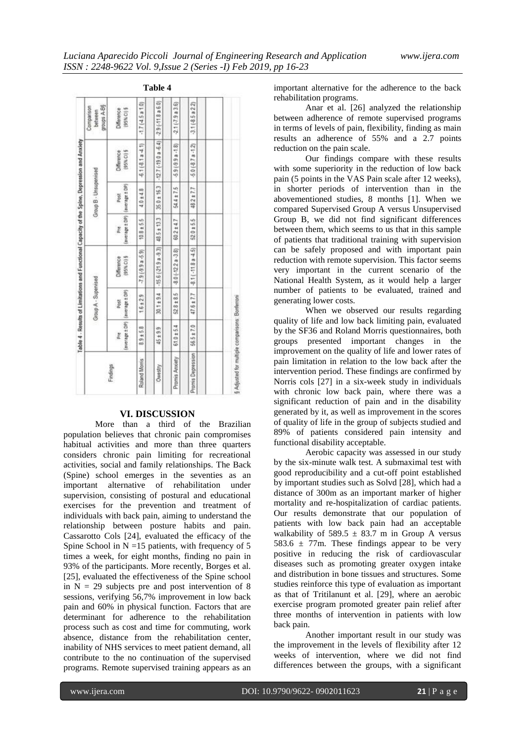|                                                                                               |                                      |                         |                        | Table 4          |                      |                                                 |  |
|-----------------------------------------------------------------------------------------------|--------------------------------------|-------------------------|------------------------|------------------|----------------------|-------------------------------------------------|--|
|                                                                                               | groups A-B§<br>Companson<br>behaveen | [95% C) §<br>Difference | $-1.7(45a10)$          | $-29(-118a60)$   | 21(7.9a3.6)          | 31(85a22)                                       |  |
|                                                                                               |                                      | [95% CJ §<br>Difference | 61(81a41)              | $-127(-190a-64)$ | $-5.9(-9.9 - 1.8)$   | $50(87a - 12)$                                  |  |
|                                                                                               | Group B - Unsupervised               | (average ± DP)<br>Post  | $4.0 + 4.8$            | 35.0 ± 16.3      | 544±7.5              | $482 + 7.7$                                     |  |
| Table 4 - Results of Limitations and Functional Capacity of the Spine. Depression and Anxiety |                                      | (antrage ± DP)<br>Pre   | 8±5.5<br>g             | 485±133          | 602±47               | 520±55                                          |  |
|                                                                                               | Group A - Supervised                 | (95% C) §<br>Difference | $(2.3 - 5.9)$          | $-156(-219a-93)$ | $-3.0(-12.2a - 3.8)$ | $-3.1(-11.8a - 4.5)$                            |  |
|                                                                                               |                                      | (average ± DP)<br>Post  | $1.6 \pm 2.9$          | 30.1±9.4         | 528±85               | $47.6 \pm 7.7$                                  |  |
|                                                                                               |                                      | (average ± DP)<br>ž     | œ<br>$+5.$<br>œ,<br>oó | 45 ± 9.9         | 61.0 ± 5.4           | 56.5 ± 7.0                                      |  |
|                                                                                               |                                      | Roland Moms             | Owestry                | Promis Arxiety   | Promis Depression    | § Adjusted for multiple companisons: Bonferroni |  |

#### **VI. DISCUSSION**

More than a third of the Brazilian population believes that chronic pain compromises habitual activities and more than three quarters considers chronic pain limiting for recreational activities, social and family relationships. The Back (Spine) school emerges in the seventies as an important alternative of rehabilitation under supervision, consisting of postural and educational exercises for the prevention and treatment of individuals with back pain, aiming to understand the relationship between posture habits and pain. Cassarotto Cols [24], evaluated the efficacy of the Spine School in  $N = 15$  patients, with frequency of 5 times a week, for eight months, finding no pain in 93% of the participants. More recently, Borges et al. [25], evaluated the effectiveness of the Spine school in  $N = 29$  subjects pre and post intervention of 8 sessions, verifying 56,7% improvement in low back pain and 60% in physical function. Factors that are determinant for adherence to the rehabilitation process such as cost and time for commuting, work absence, distance from the rehabilitation center, inability of NHS services to meet patient demand, all contribute to the no continuation of the supervised programs. Remote supervised training appears as an

important alternative for the adherence to the back rehabilitation programs.

Anar et al. [26] analyzed the relationship between adherence of remote supervised programs in terms of levels of pain, flexibility, finding as main results an adherence of 55% and a 2.7 points reduction on the pain scale.

Our findings compare with these results with some superiority in the reduction of low back pain (5 points in the VAS Pain scale after 12 weeks), in shorter periods of intervention than in the abovementioned studies, 8 months [1]. When we compared Supervised Group A versus Unsupervised Group B, we did not find significant differences between them, which seems to us that in this sample of patients that traditional training with supervision can be safely proposed and with important pain reduction with remote supervision. This factor seems very important in the current scenario of the National Health System, as it would help a larger number of patients to be evaluated, trained and generating lower costs.

When we observed our results regarding quality of life and low back limiting pain, evaluated by the SF36 and Roland Morris questionnaires, both groups presented important changes in the improvement on the quality of life and lower rates of pain limitation in relation to the low back after the intervention period. These findings are confirmed by Norris cols [27] in a six-week study in individuals with chronic low back pain, where there was a significant reduction of pain and in the disability generated by it, as well as improvement in the scores of quality of life in the group of subjects studied and 89% of patients considered pain intensity and functional disability acceptable.

Aerobic capacity was assessed in our study by the six-minute walk test. A submaximal test with good reproducibility and a cut-off point established by important studies such as Solvd [28], which had a distance of 300m as an important marker of higher mortality and re-hospitalization of cardiac patients. Our results demonstrate that our population of patients with low back pain had an acceptable walkability of  $589.5 \pm 83.7$  m in Group A versus 583.6  $\pm$  77m. These findings appear to be very positive in reducing the risk of cardiovascular diseases such as promoting greater oxygen intake and distribution in bone tissues and structures. Some studies reinforce this type of evaluation as important as that of Tritilanunt et al. [29], where an aerobic exercise program promoted greater pain relief after three months of intervention in patients with low back pain.

Another important result in our study was the improvement in the levels of flexibility after 12 weeks of intervention, where we did not find differences between the groups, with a significant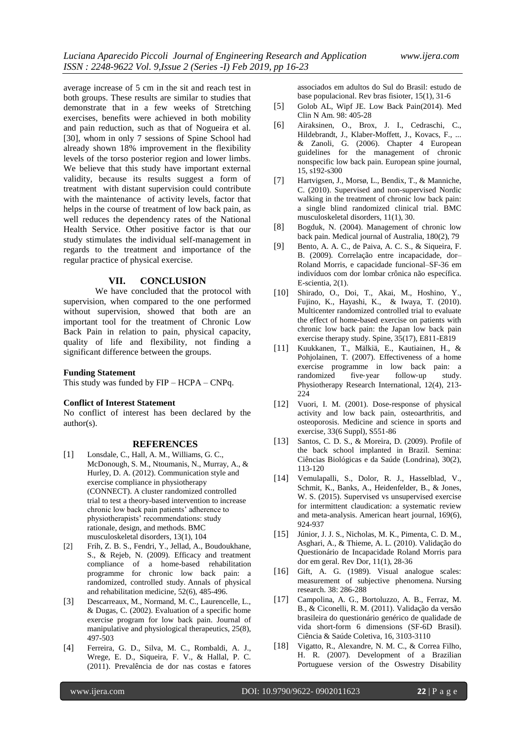average increase of 5 cm in the sit and reach test in both groups. These results are similar to studies that demonstrate that in a few weeks of Stretching exercises, benefits were achieved in both mobility and pain reduction, such as that of Nogueira et al. [30], whom in only 7 sessions of Spine School had already shown 18% improvement in the flexibility levels of the torso posterior region and lower limbs. We believe that this study have important external validity, because its results suggest a form of treatment with distant supervision could contribute with the maintenance of activity levels, factor that helps in the course of treatment of low back pain, as well reduces the dependency rates of the National Health Service. Other positive factor is that our study stimulates the individual self-management in regards to the treatment and importance of the regular practice of physical exercise.

#### **VII. CONCLUSION**

We have concluded that the protocol with supervision, when compared to the one performed without supervision, showed that both are an important tool for the treatment of Chronic Low Back Pain in relation to pain, physical capacity, quality of life and flexibility, not finding a significant difference between the groups.

#### **Funding Statement**

This study was funded by FIP – HCPA – CNPq.

#### **Conflict of Interest Statement**

No conflict of interest has been declared by the author(s).

#### **REFERENCES**

- [1] Lonsdale, C., Hall, A. M., Williams, G. C., McDonough, S. M., Ntoumanis, N., Murray, A., & Hurley, D. A. (2012). Communication style and exercise compliance in physiotherapy (CONNECT). A cluster randomized controlled trial to test a theory-based intervention to increase chronic low back pain patients' adherence to physiotherapists' recommendations: study rationale, design, and methods. BMC musculoskeletal disorders, 13(1), 104
- [2] Frih, Z. B. S., Fendri, Y., Jellad, A., Boudoukhane, S., & Rejeb, N. (2009). Efficacy and treatment compliance of a home-based rehabilitation programme for chronic low back pain: a randomized, controlled study. Annals of physical and rehabilitation medicine, 52(6), 485-496.
- [3] Descarreaux, M., Normand, M. C., Laurencelle, L., & Dugas, C. (2002). Evaluation of a specific home exercise program for low back pain. Journal of manipulative and physiological therapeutics, 25(8), 497-503
- [4] Ferreira, G. D., Silva, M. C., Rombaldi, A. J., Wrege, E. D., Siqueira, F. V., & Hallal, P. C. (2011). Prevalência de dor nas costas e fatores

associados em adultos do Sul do Brasil: estudo de base populacional. Rev bras fisioter, 15(1), 31-6

- [5] Golob AL, Wipf JE. Low Back Pain(2014). Med Clin N Am. 98: 405-28
- [6] Airaksinen, O., Brox, J. I., Cedraschi, C., Hildebrandt, J., Klaber-Moffett, J., Kovacs, F., ... & Zanoli, G. (2006). Chapter 4 European guidelines for the management of chronic nonspecific low back pain. European spine journal, 15, s192-s300
- [7] Hartvigsen, J., Morsø, L., Bendix, T., & Manniche, C. (2010). Supervised and non-supervised Nordic walking in the treatment of chronic low back pain: a single blind randomized clinical trial. BMC musculoskeletal disorders, 11(1), 30.
- [8] Bogduk, N. (2004). Management of chronic low back pain. Medical journal of Australia, 180(2), 79
- [9] Bento, A. A. C., de Paiva, A. C. S., & Siqueira, F. B. (2009). Correlação entre incapacidade, dor– Roland Morris, e capacidade funcional–SF-36 em indivíduos com dor lombar crônica não específica. E-scientia, 2(1).
- [10] Shirado, O., Doi, T., Akai, M., Hoshino, Y., Fujino, K., Hayashi, K., & Iwaya, T. (2010). Multicenter randomized controlled trial to evaluate the effect of home-based exercise on patients with chronic low back pain: the Japan low back pain exercise therapy study. Spine, 35(17), E811-E819
- [11] Kuukkanen, T., Mälkiä, E., Kautiainen, H., & Pohjolainen, T. (2007). Effectiveness of a home exercise programme in low back pain: a randomized five-year follow-up study. Physiotherapy Research International, 12(4), 213- 224
- [12] Vuori, I. M. (2001). Dose-response of physical activity and low back pain, osteoarthritis, and osteoporosis. Medicine and science in sports and exercise, 33(6 Suppl), S551-86
- [13] Santos, C. D. S., & Moreira, D. (2009). Profile of the back school implanted in Brazil. Semina: Ciências Biológicas e da Saúde (Londrina), 30(2), 113-120
- [14] Vemulapalli, S., Dolor, R. J., Hasselblad, V., Schmit, K., Banks, A., Heidenfelder, B., & Jones, W. S. (2015). Supervised vs unsupervised exercise for intermittent claudication: a systematic review and meta-analysis. American heart journal, 169(6), 924-937
- [15] Júnior, J. J. S., Nicholas, M. K., Pimenta, C. D. M., Asghari, A., & Thieme, A. L. (2010). Validação do Questionário de Incapacidade Roland Morris para dor em geral. Rev Dor, 11(1), 28-36
- [16] Gift, A. G. (1989). Visual analogue scales: measurement of subjective phenomena. Nursing research. 38: 286-288
- [17] Campolina, A. G., Bortoluzzo, A. B., Ferraz, M. B., & Ciconelli, R. M. (2011). Validação da versão brasileira do questionário genérico de qualidade de vida short-form 6 dimensions (SF-6D Brasil). Ciência & Saúde Coletiva, 16, 3103-3110
- [18] Vigatto, R., Alexandre, N. M. C., & Correa Filho, H. R. (2007). Development of a Brazilian Portuguese version of the Oswestry Disability